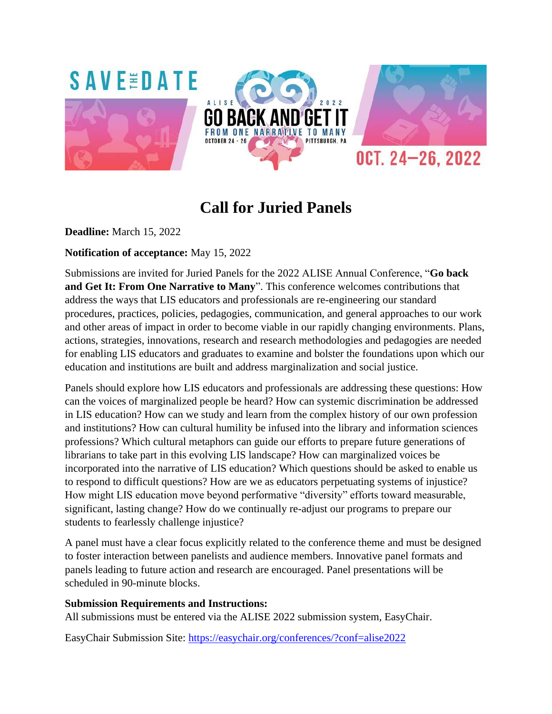

# **Call for Juried Panels**

**Deadline:** March 15, 2022

# **Notification of acceptance:** May 15, 2022

Submissions are invited for Juried Panels for the 2022 ALISE Annual Conference, "**Go back and Get It: From One Narrative to Many**". This conference welcomes contributions that address the ways that LIS educators and professionals are re-engineering our standard procedures, practices, policies, pedagogies, communication, and general approaches to our work and other areas of impact in order to become viable in our rapidly changing environments. Plans, actions, strategies, innovations, research and research methodologies and pedagogies are needed for enabling LIS educators and graduates to examine and bolster the foundations upon which our education and institutions are built and address marginalization and social justice.

Panels should explore how LIS educators and professionals are addressing these questions: How can the voices of marginalized people be heard? How can systemic discrimination be addressed in LIS education? How can we study and learn from the complex history of our own profession and institutions? How can cultural humility be infused into the library and information sciences professions? Which cultural metaphors can guide our efforts to prepare future generations of librarians to take part in this evolving LIS landscape? How can marginalized voices be incorporated into the narrative of LIS education? Which questions should be asked to enable us to respond to difficult questions? How are we as educators perpetuating systems of injustice? How might LIS education move beyond performative "diversity" efforts toward measurable, significant, lasting change? How do we continually re-adjust our programs to prepare our students to fearlessly challenge injustice?

A panel must have a clear focus explicitly related to the conference theme and must be designed to foster interaction between panelists and audience members. Innovative panel formats and panels leading to future action and research are encouraged. Panel presentations will be scheduled in 90-minute blocks.

## **Submission Requirements and Instructions:**

All submissions must be entered via the ALISE 2022 submission system, EasyChair.

EasyChair Submission Site:<https://easychair.org/conferences/?conf=alise2022>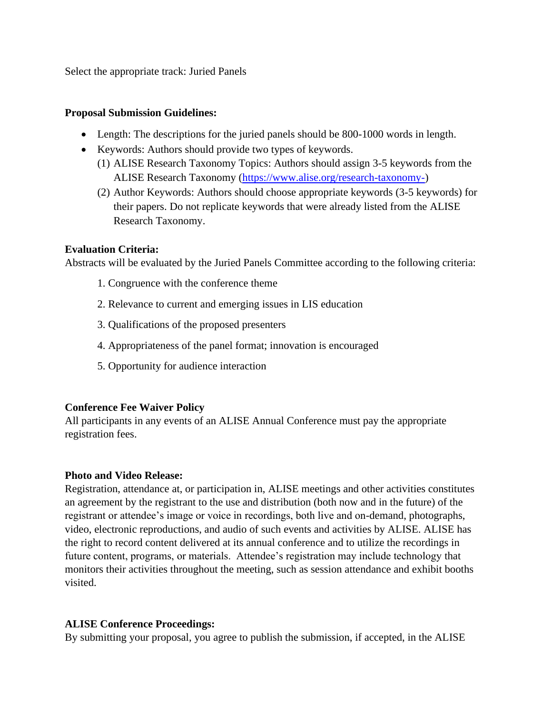Select the appropriate track: Juried Panels

#### **Proposal Submission Guidelines:**

- Length: The descriptions for the juried panels should be 800-1000 words in length.
- Keywords: Authors should provide two types of keywords.
	- (1) ALISE Research Taxonomy Topics: Authors should assign 3-5 keywords from the ALISE Research Taxonomy [\(https://www.alise.org/research-taxonomy-\)](https://www.alise.org/research-taxonomy-)
	- (2) Author Keywords: Authors should choose appropriate keywords (3-5 keywords) for their papers. Do not replicate keywords that were already listed from the ALISE Research Taxonomy.

## **Evaluation Criteria:**

Abstracts will be evaluated by the Juried Panels Committee according to the following criteria:

- 1. Congruence with the conference theme
- 2. Relevance to current and emerging issues in LIS education
- 3. Qualifications of the proposed presenters
- 4. Appropriateness of the panel format; innovation is encouraged
- 5. Opportunity for audience interaction

## **Conference Fee Waiver Policy**

All participants in any events of an ALISE Annual Conference must pay the appropriate registration fees.

## **Photo and Video Release:**

Registration, attendance at, or participation in, ALISE meetings and other activities constitutes an agreement by the registrant to the use and distribution (both now and in the future) of the registrant or attendee's image or voice in recordings, both live and on-demand, photographs, video, electronic reproductions, and audio of such events and activities by ALISE. ALISE has the right to record content delivered at its annual conference and to utilize the recordings in future content, programs, or materials. Attendee's registration may include technology that monitors their activities throughout the meeting, such as session attendance and exhibit booths visited.

## **ALISE Conference Proceedings:**

By submitting your proposal, you agree to publish the submission, if accepted, in the ALISE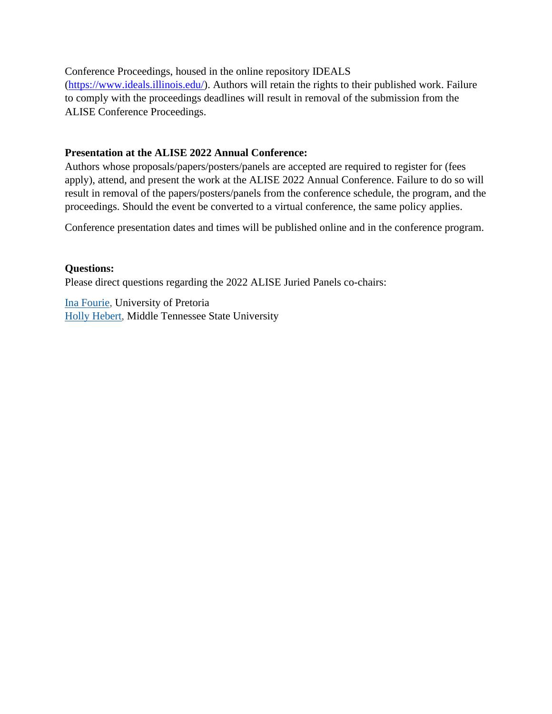Conference Proceedings, housed in the online repository IDEALS [\(https://www.ideals.illinois.edu/\)](https://www.ideals.illinois.edu/). Authors will retain the rights to their published work. Failure to comply with the proceedings deadlines will result in removal of the submission from the ALISE Conference Proceedings.

#### **Presentation at the ALISE 2022 Annual Conference:**

Authors whose proposals/papers/posters/panels are accepted are required to register for (fees apply), attend, and present the work at the ALISE 2022 Annual Conference. Failure to do so will result in removal of the papers/posters/panels from the conference schedule, the program, and the proceedings. Should the event be converted to a virtual conference, the same policy applies.

Conference presentation dates and times will be published online and in the conference program.

#### **Questions:**

Please direct questions regarding the 2022 ALISE Juried Panels co-chairs:

Ina [Fourie,](mailto:ina.fourie@up.ac.za) University of Pretoria Holly [Hebert,](mailto:holly.hebert@mtsu.edu) Middle Tennessee State University